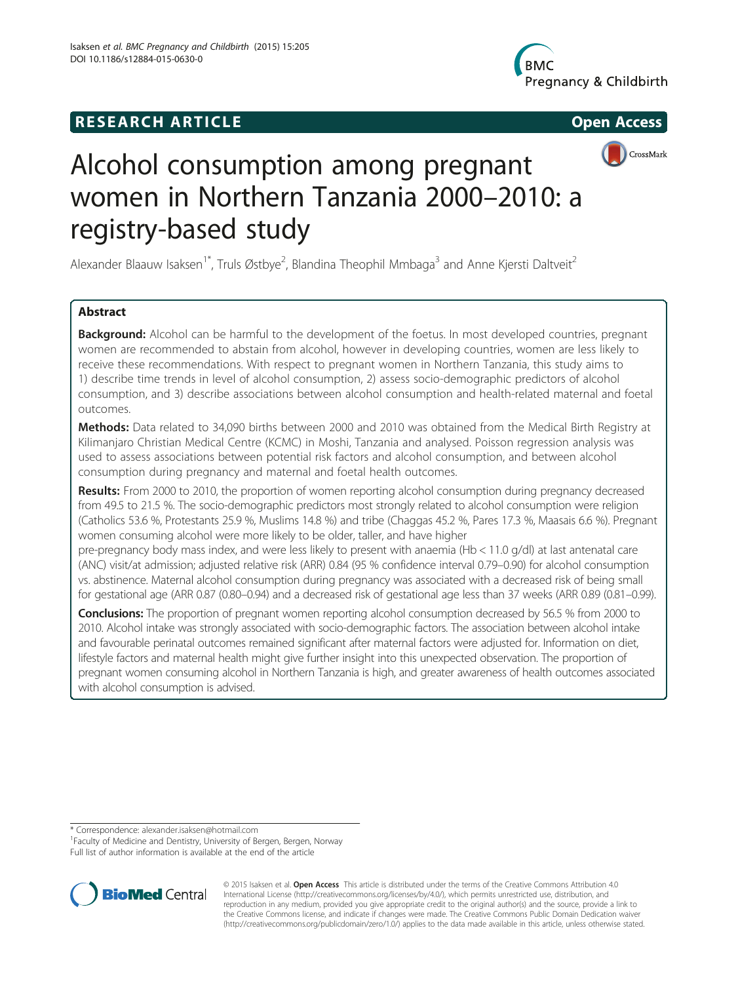# **RESEARCH ARTICLE Example 2014 The SEAR CH ACCESS**







# Alcohol consumption among pregnant women in Northern Tanzania 2000–2010: a registry-based study

Alexander Blaauw Isaksen<sup>1\*</sup>, Truls Østbye<sup>2</sup>, Blandina Theophil Mmbaga<sup>3</sup> and Anne Kjersti Daltveit<sup>2</sup>

# Abstract

Background: Alcohol can be harmful to the development of the foetus. In most developed countries, pregnant women are recommended to abstain from alcohol, however in developing countries, women are less likely to receive these recommendations. With respect to pregnant women in Northern Tanzania, this study aims to 1) describe time trends in level of alcohol consumption, 2) assess socio-demographic predictors of alcohol consumption, and 3) describe associations between alcohol consumption and health-related maternal and foetal outcomes.

Methods: Data related to 34,090 births between 2000 and 2010 was obtained from the Medical Birth Registry at Kilimanjaro Christian Medical Centre (KCMC) in Moshi, Tanzania and analysed. Poisson regression analysis was used to assess associations between potential risk factors and alcohol consumption, and between alcohol consumption during pregnancy and maternal and foetal health outcomes.

Results: From 2000 to 2010, the proportion of women reporting alcohol consumption during pregnancy decreased from 49.5 to 21.5 %. The socio-demographic predictors most strongly related to alcohol consumption were religion (Catholics 53.6 %, Protestants 25.9 %, Muslims 14.8 %) and tribe (Chaggas 45.2 %, Pares 17.3 %, Maasais 6.6 %). Pregnant women consuming alcohol were more likely to be older, taller, and have higher

pre-pregnancy body mass index, and were less likely to present with anaemia (Hb < 11.0 g/dl) at last antenatal care (ANC) visit/at admission; adjusted relative risk (ARR) 0.84 (95 % confidence interval 0.79–0.90) for alcohol consumption vs. abstinence. Maternal alcohol consumption during pregnancy was associated with a decreased risk of being small for gestational age (ARR 0.87 (0.80–0.94) and a decreased risk of gestational age less than 37 weeks (ARR 0.89 (0.81–0.99).

Conclusions: The proportion of pregnant women reporting alcohol consumption decreased by 56.5 % from 2000 to 2010. Alcohol intake was strongly associated with socio-demographic factors. The association between alcohol intake and favourable perinatal outcomes remained significant after maternal factors were adjusted for. Information on diet, lifestyle factors and maternal health might give further insight into this unexpected observation. The proportion of pregnant women consuming alcohol in Northern Tanzania is high, and greater awareness of health outcomes associated with alcohol consumption is advised.

\* Correspondence: [alexander.isaksen@hotmail.com](mailto:alexander.isaksen@hotmail.com) <sup>1</sup>

<sup>1</sup> Faculty of Medicine and Dentistry, University of Bergen, Bergen, Norway Full list of author information is available at the end of the article



© 2015 Isaksen et al. Open Access This article is distributed under the terms of the Creative Commons Attribution 4.0 International License [\(http://creativecommons.org/licenses/by/4.0/](http://creativecommons.org/licenses/by/4.0/)), which permits unrestricted use, distribution, and reproduction in any medium, provided you give appropriate credit to the original author(s) and the source, provide a link to the Creative Commons license, and indicate if changes were made. The Creative Commons Public Domain Dedication waiver [\(http://creativecommons.org/publicdomain/zero/1.0/](http://creativecommons.org/publicdomain/zero/1.0/)) applies to the data made available in this article, unless otherwise stated.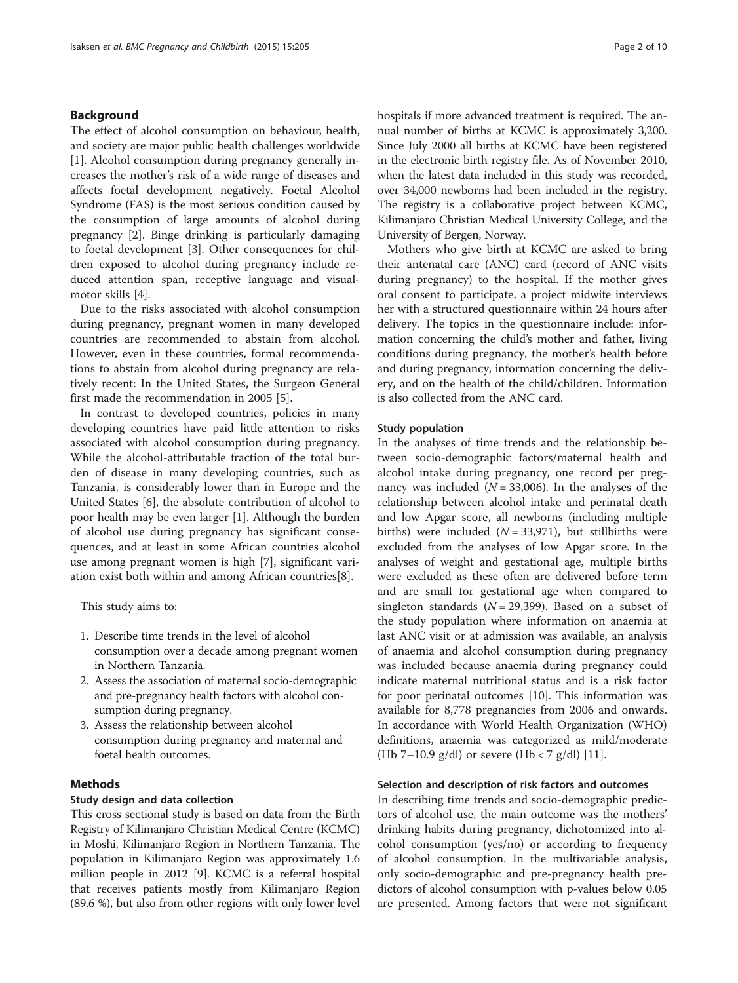# Background

The effect of alcohol consumption on behaviour, health, and society are major public health challenges worldwide [[1\]](#page-8-0). Alcohol consumption during pregnancy generally increases the mother's risk of a wide range of diseases and affects foetal development negatively. Foetal Alcohol Syndrome (FAS) is the most serious condition caused by the consumption of large amounts of alcohol during pregnancy [[2\]](#page-8-0). Binge drinking is particularly damaging to foetal development [[3\]](#page-8-0). Other consequences for children exposed to alcohol during pregnancy include reduced attention span, receptive language and visualmotor skills [\[4](#page-8-0)].

Due to the risks associated with alcohol consumption during pregnancy, pregnant women in many developed countries are recommended to abstain from alcohol. However, even in these countries, formal recommendations to abstain from alcohol during pregnancy are relatively recent: In the United States, the Surgeon General first made the recommendation in 2005 [[5\]](#page-8-0).

In contrast to developed countries, policies in many developing countries have paid little attention to risks associated with alcohol consumption during pregnancy. While the alcohol-attributable fraction of the total burden of disease in many developing countries, such as Tanzania, is considerably lower than in Europe and the United States [[6\]](#page-8-0), the absolute contribution of alcohol to poor health may be even larger [[1\]](#page-8-0). Although the burden of alcohol use during pregnancy has significant consequences, and at least in some African countries alcohol use among pregnant women is high [[7\]](#page-8-0), significant variation exist both within and among African countries[\[8](#page-8-0)].

This study aims to:

- 1. Describe time trends in the level of alcohol consumption over a decade among pregnant women in Northern Tanzania.
- 2. Assess the association of maternal socio-demographic and pre-pregnancy health factors with alcohol consumption during pregnancy.
- 3. Assess the relationship between alcohol consumption during pregnancy and maternal and foetal health outcomes.

# Methods

# Study design and data collection

This cross sectional study is based on data from the Birth Registry of Kilimanjaro Christian Medical Centre (KCMC) in Moshi, Kilimanjaro Region in Northern Tanzania. The population in Kilimanjaro Region was approximately 1.6 million people in 2012 [\[9](#page-8-0)]. KCMC is a referral hospital that receives patients mostly from Kilimanjaro Region (89.6 %), but also from other regions with only lower level hospitals if more advanced treatment is required. The annual number of births at KCMC is approximately 3,200. Since July 2000 all births at KCMC have been registered in the electronic birth registry file. As of November 2010, when the latest data included in this study was recorded, over 34,000 newborns had been included in the registry. The registry is a collaborative project between KCMC, Kilimanjaro Christian Medical University College, and the University of Bergen, Norway.

Mothers who give birth at KCMC are asked to bring their antenatal care (ANC) card (record of ANC visits during pregnancy) to the hospital. If the mother gives oral consent to participate, a project midwife interviews her with a structured questionnaire within 24 hours after delivery. The topics in the questionnaire include: information concerning the child's mother and father, living conditions during pregnancy, the mother's health before and during pregnancy, information concerning the delivery, and on the health of the child/children. Information is also collected from the ANC card.

#### Study population

In the analyses of time trends and the relationship between socio-demographic factors/maternal health and alcohol intake during pregnancy, one record per pregnancy was included ( $N = 33,006$ ). In the analyses of the relationship between alcohol intake and perinatal death and low Apgar score, all newborns (including multiple births) were included  $(N = 33,971)$ , but stillbirths were excluded from the analyses of low Apgar score. In the analyses of weight and gestational age, multiple births were excluded as these often are delivered before term and are small for gestational age when compared to singleton standards ( $N = 29,399$ ). Based on a subset of the study population where information on anaemia at last ANC visit or at admission was available, an analysis of anaemia and alcohol consumption during pregnancy was included because anaemia during pregnancy could indicate maternal nutritional status and is a risk factor for poor perinatal outcomes [[10\]](#page-8-0). This information was available for 8,778 pregnancies from 2006 and onwards. In accordance with World Health Organization (WHO) definitions, anaemia was categorized as mild/moderate (Hb 7–10.9 g/dl) or severe (Hb < 7 g/dl) [[11](#page-8-0)].

# Selection and description of risk factors and outcomes

In describing time trends and socio-demographic predictors of alcohol use, the main outcome was the mothers' drinking habits during pregnancy, dichotomized into alcohol consumption (yes/no) or according to frequency of alcohol consumption. In the multivariable analysis, only socio-demographic and pre-pregnancy health predictors of alcohol consumption with p-values below 0.05 are presented. Among factors that were not significant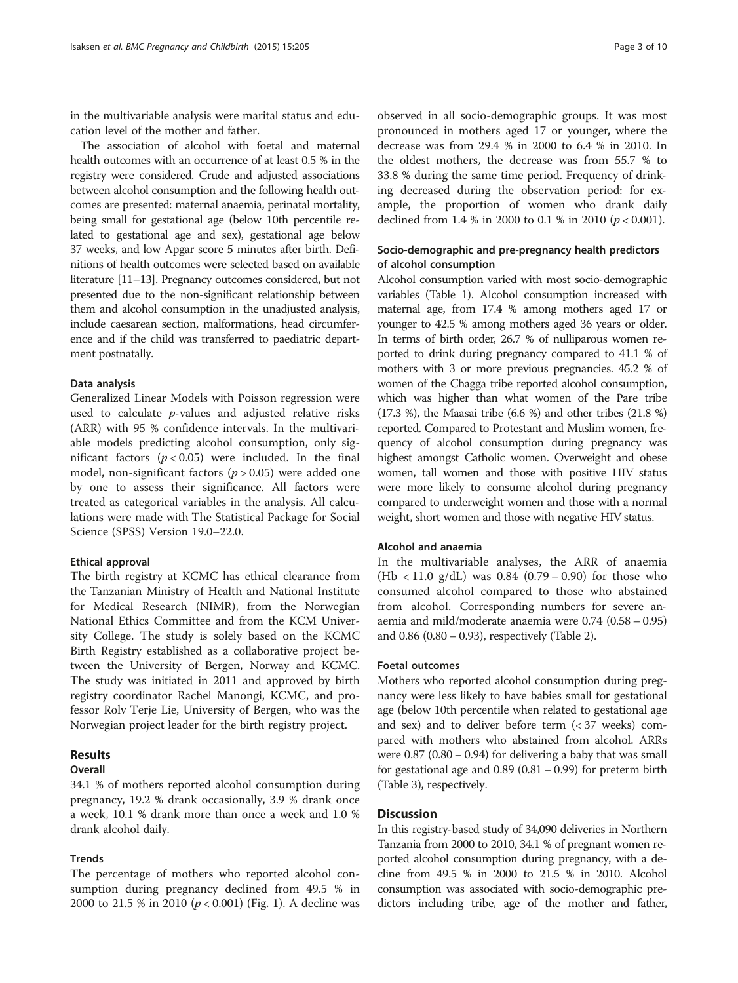in the multivariable analysis were marital status and education level of the mother and father.

The association of alcohol with foetal and maternal health outcomes with an occurrence of at least 0.5 % in the registry were considered. Crude and adjusted associations between alcohol consumption and the following health outcomes are presented: maternal anaemia, perinatal mortality, being small for gestational age (below 10th percentile related to gestational age and sex), gestational age below 37 weeks, and low Apgar score 5 minutes after birth. Definitions of health outcomes were selected based on available literature [\[11](#page-8-0)–[13\]](#page-8-0). Pregnancy outcomes considered, but not presented due to the non-significant relationship between them and alcohol consumption in the unadjusted analysis, include caesarean section, malformations, head circumference and if the child was transferred to paediatric department postnatally.

# Data analysis

Generalized Linear Models with Poisson regression were used to calculate p-values and adjusted relative risks (ARR) with 95 % confidence intervals. In the multivariable models predicting alcohol consumption, only significant factors  $(p < 0.05)$  were included. In the final model, non-significant factors ( $p > 0.05$ ) were added one by one to assess their significance. All factors were treated as categorical variables in the analysis. All calculations were made with The Statistical Package for Social Science (SPSS) Version 19.0–22.0.

#### Ethical approval

The birth registry at KCMC has ethical clearance from the Tanzanian Ministry of Health and National Institute for Medical Research (NIMR), from the Norwegian National Ethics Committee and from the KCM University College. The study is solely based on the KCMC Birth Registry established as a collaborative project between the University of Bergen, Norway and KCMC. The study was initiated in 2011 and approved by birth registry coordinator Rachel Manongi, KCMC, and professor Rolv Terje Lie, University of Bergen, who was the Norwegian project leader for the birth registry project.

# Results

# **Overall**

34.1 % of mothers reported alcohol consumption during pregnancy, 19.2 % drank occasionally, 3.9 % drank once a week, 10.1 % drank more than once a week and 1.0 % drank alcohol daily.

# **Trends**

The percentage of mothers who reported alcohol consumption during pregnancy declined from 49.5 % in 2000 to 21.5 % in 2010 ( $p < 0.001$ ) (Fig. [1](#page-3-0)). A decline was

observed in all socio-demographic groups. It was most pronounced in mothers aged 17 or younger, where the decrease was from 29.4 % in 2000 to 6.4 % in 2010. In the oldest mothers, the decrease was from 55.7 % to 33.8 % during the same time period. Frequency of drinking decreased during the observation period: for example, the proportion of women who drank daily declined from 1.4 % in 2000 to 0.1 % in 2010 ( $p < 0.001$ ).

# Socio-demographic and pre-pregnancy health predictors of alcohol consumption

Alcohol consumption varied with most socio-demographic variables (Table [1](#page-4-0)). Alcohol consumption increased with maternal age, from 17.4 % among mothers aged 17 or younger to 42.5 % among mothers aged 36 years or older. In terms of birth order, 26.7 % of nulliparous women reported to drink during pregnancy compared to 41.1 % of mothers with 3 or more previous pregnancies. 45.2 % of women of the Chagga tribe reported alcohol consumption, which was higher than what women of the Pare tribe (17.3 %), the Maasai tribe (6.6 %) and other tribes (21.8 %) reported. Compared to Protestant and Muslim women, frequency of alcohol consumption during pregnancy was highest amongst Catholic women. Overweight and obese women, tall women and those with positive HIV status were more likely to consume alcohol during pregnancy compared to underweight women and those with a normal weight, short women and those with negative HIV status.

#### Alcohol and anaemia

In the multivariable analyses, the ARR of anaemia (Hb < 11.0 g/dL) was  $0.84$  (0.79 – 0.90) for those who consumed alcohol compared to those who abstained from alcohol. Corresponding numbers for severe anaemia and mild/moderate anaemia were 0.74 (0.58 – 0.95) and 0.86 (0.80 – 0.93), respectively (Table [2](#page-6-0)).

# Foetal outcomes

Mothers who reported alcohol consumption during pregnancy were less likely to have babies small for gestational age (below 10th percentile when related to gestational age and sex) and to deliver before term  $\left( < 37 \text{ weeks} \right)$  compared with mothers who abstained from alcohol. ARRs were  $0.87$   $(0.80 - 0.94)$  for delivering a baby that was small for gestational age and  $0.89$  ( $0.81 - 0.99$ ) for preterm birth (Table [3](#page-7-0)), respectively.

# **Discussion**

In this registry-based study of 34,090 deliveries in Northern Tanzania from 2000 to 2010, 34.1 % of pregnant women reported alcohol consumption during pregnancy, with a decline from 49.5 % in 2000 to 21.5 % in 2010. Alcohol consumption was associated with socio-demographic predictors including tribe, age of the mother and father,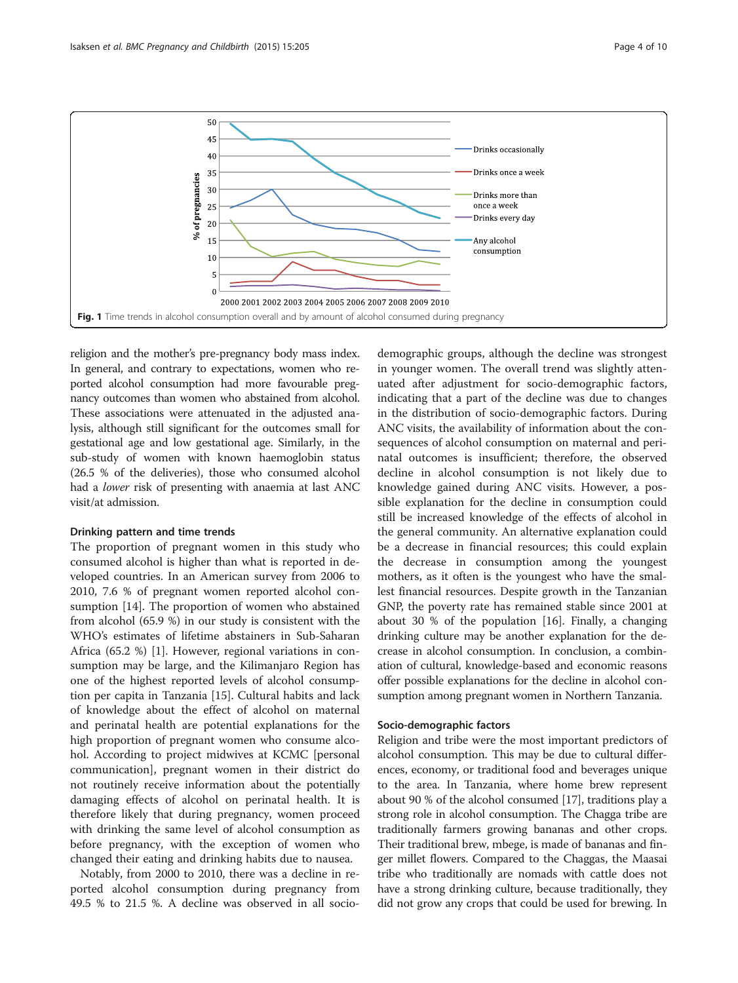<span id="page-3-0"></span>

religion and the mother's pre-pregnancy body mass index. In general, and contrary to expectations, women who reported alcohol consumption had more favourable pregnancy outcomes than women who abstained from alcohol. These associations were attenuated in the adjusted analysis, although still significant for the outcomes small for gestational age and low gestational age. Similarly, in the sub-study of women with known haemoglobin status (26.5 % of the deliveries), those who consumed alcohol had a lower risk of presenting with anaemia at last ANC visit/at admission.

#### Drinking pattern and time trends

The proportion of pregnant women in this study who consumed alcohol is higher than what is reported in developed countries. In an American survey from 2006 to 2010, 7.6 % of pregnant women reported alcohol consumption [[14\]](#page-8-0). The proportion of women who abstained from alcohol (65.9 %) in our study is consistent with the WHO's estimates of lifetime abstainers in Sub-Saharan Africa (65.2 %) [[1](#page-8-0)]. However, regional variations in consumption may be large, and the Kilimanjaro Region has one of the highest reported levels of alcohol consumption per capita in Tanzania [[15](#page-8-0)]. Cultural habits and lack of knowledge about the effect of alcohol on maternal and perinatal health are potential explanations for the high proportion of pregnant women who consume alcohol. According to project midwives at KCMC [personal communication], pregnant women in their district do not routinely receive information about the potentially damaging effects of alcohol on perinatal health. It is therefore likely that during pregnancy, women proceed with drinking the same level of alcohol consumption as before pregnancy, with the exception of women who changed their eating and drinking habits due to nausea.

Notably, from 2000 to 2010, there was a decline in reported alcohol consumption during pregnancy from 49.5 % to 21.5 %. A decline was observed in all socio-

demographic groups, although the decline was strongest in younger women. The overall trend was slightly attenuated after adjustment for socio-demographic factors, indicating that a part of the decline was due to changes in the distribution of socio-demographic factors. During ANC visits, the availability of information about the consequences of alcohol consumption on maternal and perinatal outcomes is insufficient; therefore, the observed decline in alcohol consumption is not likely due to knowledge gained during ANC visits. However, a possible explanation for the decline in consumption could still be increased knowledge of the effects of alcohol in the general community. An alternative explanation could be a decrease in financial resources; this could explain the decrease in consumption among the youngest mothers, as it often is the youngest who have the smallest financial resources. Despite growth in the Tanzanian GNP, the poverty rate has remained stable since 2001 at about 30 % of the population [[16\]](#page-8-0). Finally, a changing drinking culture may be another explanation for the decrease in alcohol consumption. In conclusion, a combination of cultural, knowledge-based and economic reasons offer possible explanations for the decline in alcohol consumption among pregnant women in Northern Tanzania.

#### Socio-demographic factors

Religion and tribe were the most important predictors of alcohol consumption. This may be due to cultural differences, economy, or traditional food and beverages unique to the area. In Tanzania, where home brew represent about 90 % of the alcohol consumed [[17](#page-8-0)], traditions play a strong role in alcohol consumption. The Chagga tribe are traditionally farmers growing bananas and other crops. Their traditional brew, mbege, is made of bananas and finger millet flowers. Compared to the Chaggas, the Maasai tribe who traditionally are nomads with cattle does not have a strong drinking culture, because traditionally, they did not grow any crops that could be used for brewing. In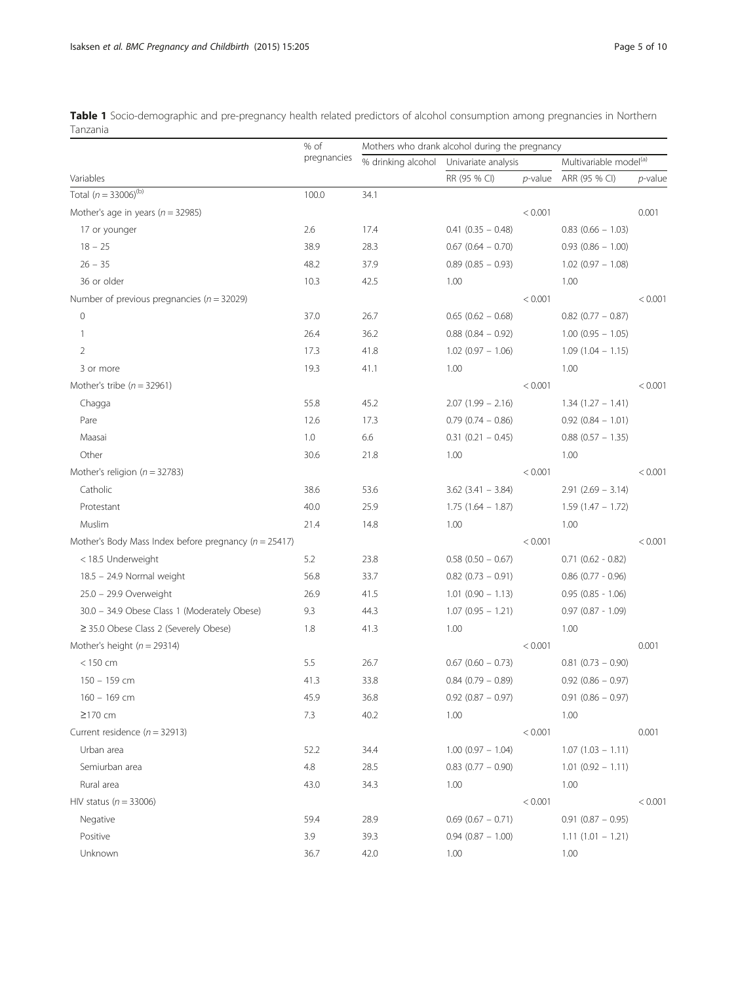<span id="page-4-0"></span>Table 1 Socio-demographic and pre-pregnancy health related predictors of alcohol consumption among pregnancies in Northern Tanzania

|                                                           | % of        | Mothers who drank alcohol during the pregnancy |                        |            |                        |                                    |  |
|-----------------------------------------------------------|-------------|------------------------------------------------|------------------------|------------|------------------------|------------------------------------|--|
|                                                           | pregnancies | % drinking alcohol                             | Univariate analysis    |            |                        | Multivariable model <sup>(a)</sup> |  |
| Variables                                                 |             |                                                | RR (95 % CI)           | $p$ -value | ARR (95 % CI)          | <i>p</i> -value                    |  |
| Total $(n = 33006)^{(b)}$                                 | 100.0       | 34.1                                           |                        |            |                        |                                    |  |
| Mother's age in years ( $n = 32985$ )                     |             |                                                |                        | < 0.001    |                        | 0.001                              |  |
| 17 or younger                                             | 2.6         | 17.4                                           | $0.41$ $(0.35 - 0.48)$ |            | $0.83$ (0.66 - 1.03)   |                                    |  |
| $18 - 25$                                                 | 38.9        | 28.3                                           | $0.67$ $(0.64 - 0.70)$ |            | $0.93$ (0.86 - 1.00)   |                                    |  |
| $26 - 35$                                                 | 48.2        | 37.9                                           | $0.89$ (0.85 - 0.93)   |            | $1.02$ (0.97 - 1.08)   |                                    |  |
| 36 or older                                               | 10.3        | 42.5                                           | 1.00                   |            | 1.00                   |                                    |  |
| Number of previous pregnancies ( $n = 32029$ )            |             |                                                |                        | < 0.001    |                        | < 0.001                            |  |
| $\mathbf 0$                                               | 37.0        | 26.7                                           | $0.65$ (0.62 - 0.68)   |            | $0.82$ (0.77 - 0.87)   |                                    |  |
| 1                                                         | 26.4        | 36.2                                           | $0.88$ $(0.84 - 0.92)$ |            | $1.00$ (0.95 $-1.05$ ) |                                    |  |
| $\overline{2}$                                            | 17.3        | 41.8                                           | $1.02$ (0.97 - 1.06)   |            | $1.09(1.04 - 1.15)$    |                                    |  |
| 3 or more                                                 | 19.3        | 41.1                                           | 1.00                   |            | 1.00                   |                                    |  |
| Mother's tribe ( $n = 32961$ )                            |             |                                                |                        | < 0.001    |                        | < 0.001                            |  |
| Chagga                                                    | 55.8        | 45.2                                           | $2.07(1.99 - 2.16)$    |            | $1.34(1.27 - 1.41)$    |                                    |  |
| Pare                                                      | 12.6        | 17.3                                           | $0.79$ (0.74 - 0.86)   |            | $0.92$ (0.84 - 1.01)   |                                    |  |
| Maasai                                                    | 1.0         | 6.6                                            | $0.31$ $(0.21 - 0.45)$ |            | $0.88$ (0.57 - 1.35)   |                                    |  |
| Other                                                     | 30.6        | 21.8                                           | 1.00                   |            | 1.00                   |                                    |  |
| Mother's religion ( $n = 32783$ )                         |             |                                                |                        | < 0.001    |                        | < 0.001                            |  |
| Catholic                                                  | 38.6        | 53.6                                           | $3.62$ (3.41 - 3.84)   |            | $2.91(2.69 - 3.14)$    |                                    |  |
| Protestant                                                | 40.0        | 25.9                                           | $1.75(1.64 - 1.87)$    |            | $1.59(1.47 - 1.72)$    |                                    |  |
| Muslim                                                    | 21.4        | 14.8                                           | 1.00                   |            | 1.00                   |                                    |  |
| Mother's Body Mass Index before pregnancy ( $n = 25417$ ) |             |                                                |                        | < 0.001    |                        | < 0.001                            |  |
| < 18.5 Underweight                                        | 5.2         | 23.8                                           | $0.58$ (0.50 - 0.67)   |            | $0.71$ $(0.62 - 0.82)$ |                                    |  |
| 18.5 - 24.9 Normal weight                                 | 56.8        | 33.7                                           | $0.82$ (0.73 - 0.91)   |            | $0.86$ (0.77 - 0.96)   |                                    |  |
| 25.0 - 29.9 Overweight                                    | 26.9        | 41.5                                           | $1.01$ (0.90 - 1.13)   |            | $0.95$ $(0.85 - 1.06)$ |                                    |  |
| 30.0 - 34.9 Obese Class 1 (Moderately Obese)              | 9.3         | 44.3                                           | $1.07(0.95 - 1.21)$    |            | $0.97$ $(0.87 - 1.09)$ |                                    |  |
| ≥ 35.0 Obese Class 2 (Severely Obese)                     | 1.8         | 41.3                                           | 1.00                   |            | 1.00                   |                                    |  |
| Mother's height ( $n = 29314$ )                           |             |                                                |                        | < 0.001    |                        | 0.001                              |  |
| $<$ 150 cm                                                | 5.5         | 26.7                                           | $0.67$ (0.60 $-$ 0.73) |            | $0.81$ (0.73 - 0.90)   |                                    |  |
| 150 - 159 cm                                              | 41.3        | 33.8                                           | $0.84$ (0.79 - 0.89)   |            | $0.92$ (0.86 - 0.97)   |                                    |  |
| $160 - 169$ cm                                            | 45.9        | 36.8                                           | $0.92$ (0.87 - 0.97)   |            | $0.91$ $(0.86 - 0.97)$ |                                    |  |
| $\geq$ 170 cm                                             | 7.3         | 40.2                                           | 1.00                   |            | 1.00                   |                                    |  |
| Current residence ( $n = 32913$ )                         |             |                                                |                        | < 0.001    |                        | 0.001                              |  |
| Urban area                                                | 52.2        | 34.4                                           | $1.00$ (0.97 - 1.04)   |            | $1.07(1.03 - 1.11)$    |                                    |  |
| Semiurban area                                            | 4.8         | 28.5                                           | $0.83$ (0.77 – 0.90)   |            | $1.01(0.92 - 1.11)$    |                                    |  |
| Rural area                                                | 43.0        | 34.3                                           | 1.00                   |            | 1.00                   |                                    |  |
| HIV status ( $n = 33006$ )                                |             |                                                |                        | < 0.001    |                        | < 0.001                            |  |
| Negative                                                  | 59.4        | 28.9                                           | $0.69$ (0.67 - 0.71)   |            | $0.91$ (0.87 - 0.95)   |                                    |  |
| Positive                                                  | 3.9         | 39.3                                           | $0.94$ $(0.87 - 1.00)$ |            | $1.11(1.01 - 1.21)$    |                                    |  |
| Unknown                                                   | 36.7        | 42.0                                           | 1.00                   |            | 1.00                   |                                    |  |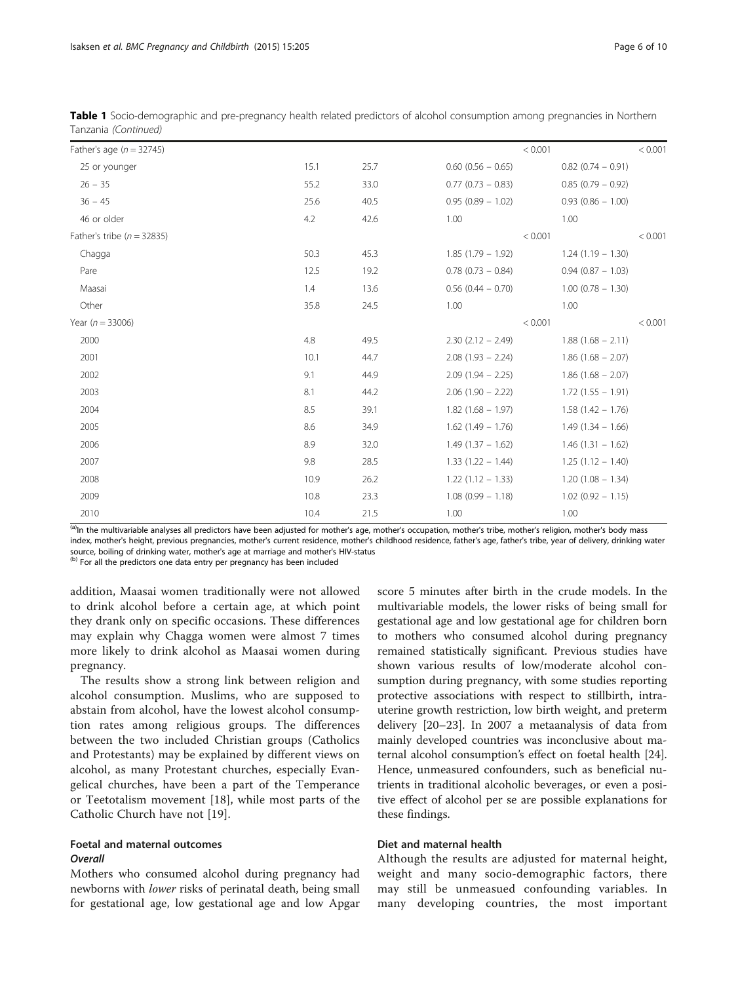| Father's age $(n = 32745)$   |      |      | < 0.001                                        | < 0.001 |
|------------------------------|------|------|------------------------------------------------|---------|
| 25 or younger                | 15.1 | 25.7 | $0.60$ $(0.56 - 0.65)$<br>$0.82$ (0.74 - 0.91) |         |
| $26 - 35$                    | 55.2 | 33.0 | $0.77(0.73 - 0.83)$<br>$0.85(0.79 - 0.92)$     |         |
| $36 - 45$                    | 25.6 | 40.5 | $0.95(0.89 - 1.02)$<br>$0.93(0.86 - 1.00)$     |         |
| 46 or older                  | 4.2  | 42.6 | 1.00<br>1.00                                   |         |
| Father's tribe $(n = 32835)$ |      |      | < 0.001                                        | < 0.001 |
| Chagga                       | 50.3 | 45.3 | $1.85(1.79 - 1.92)$<br>$1.24$ $(1.19 - 1.30)$  |         |
| Pare                         | 12.5 | 19.2 | $0.78$ (0.73 - 0.84)<br>$0.94$ $(0.87 - 1.03)$ |         |
| Maasai                       | 1.4  | 13.6 | $0.56$ $(0.44 - 0.70)$<br>$1.00$ (0.78 - 1.30) |         |
| Other                        | 35.8 | 24.5 | 1.00<br>1.00                                   |         |
| Year ( $n = 33006$ )         |      |      | < 0.001                                        | < 0.001 |
| 2000                         | 4.8  | 49.5 | $2.30$ $(2.12 - 2.49)$<br>$1.88(1.68 - 2.11)$  |         |
| 2001                         | 10.1 | 44.7 | $2.08(1.93 - 2.24)$<br>$1.86$ (1.68 - 2.07)    |         |
| 2002                         | 9.1  | 44.9 | $2.09(1.94 - 2.25)$<br>$1.86(1.68 - 2.07)$     |         |
| 2003                         | 8.1  | 44.2 | $2.06$ (1.90 - 2.22)<br>$1.72(1.55 - 1.91)$    |         |
| 2004                         | 8.5  | 39.1 | $1.82(1.68 - 1.97)$<br>$1.58(1.42 - 1.76)$     |         |
| 2005                         | 8.6  | 34.9 | $1.62$ (1.49 - 1.76)<br>$1.49(1.34 - 1.66)$    |         |
| 2006                         | 8.9  | 32.0 | $1.49(1.37 - 1.62)$<br>$1.46(1.31 - 1.62)$     |         |
| 2007                         | 9.8  | 28.5 | $1.33(1.22 - 1.44)$<br>$1.25(1.12 - 1.40)$     |         |
| 2008                         | 10.9 | 26.2 | $1.22$ (1.12 - 1.33)<br>$1.20(1.08 - 1.34)$    |         |
| 2009                         | 10.8 | 23.3 | $1.08$ (0.99 - 1.18)<br>$1.02$ (0.92 - 1.15)   |         |
| 2010                         | 10.4 | 21.5 | 1.00<br>1.00                                   |         |

Table 1 Socio-demographic and pre-pregnancy health related predictors of alcohol consumption among pregnancies in Northern Tanzania (Continued)

<sup>(a)</sup>In the multivariable analyses all predictors have been adjusted for mother's age, mother's occupation, mother's tribe, mother's religion, mother's body mass index, mother's height, previous pregnancies, mother's current residence, mother's childhood residence, father's age, father's tribe, year of delivery, drinking water source, boiling of drinking water, mother's age at marriage and mother's HIV-status

(b) For all the predictors one data entry per pregnancy has been included

addition, Maasai women traditionally were not allowed to drink alcohol before a certain age, at which point they drank only on specific occasions. These differences may explain why Chagga women were almost 7 times more likely to drink alcohol as Maasai women during pregnancy.

The results show a strong link between religion and alcohol consumption. Muslims, who are supposed to abstain from alcohol, have the lowest alcohol consumption rates among religious groups. The differences between the two included Christian groups (Catholics and Protestants) may be explained by different views on alcohol, as many Protestant churches, especially Evangelical churches, have been a part of the Temperance or Teetotalism movement [[18\]](#page-8-0), while most parts of the Catholic Church have not [[19\]](#page-8-0).

# Foetal and maternal outcomes **Overall**

Mothers who consumed alcohol during pregnancy had newborns with lower risks of perinatal death, being small for gestational age, low gestational age and low Apgar score 5 minutes after birth in the crude models. In the multivariable models, the lower risks of being small for gestational age and low gestational age for children born to mothers who consumed alcohol during pregnancy remained statistically significant. Previous studies have shown various results of low/moderate alcohol consumption during pregnancy, with some studies reporting protective associations with respect to stillbirth, intrauterine growth restriction, low birth weight, and preterm delivery [\[20](#page-8-0)–[23](#page-9-0)]. In 2007 a metaanalysis of data from mainly developed countries was inconclusive about maternal alcohol consumption's effect on foetal health [\[24](#page-9-0)]. Hence, unmeasured confounders, such as beneficial nutrients in traditional alcoholic beverages, or even a positive effect of alcohol per se are possible explanations for these findings.

# Diet and maternal health

Although the results are adjusted for maternal height, weight and many socio-demographic factors, there may still be unmeasued confounding variables. In many developing countries, the most important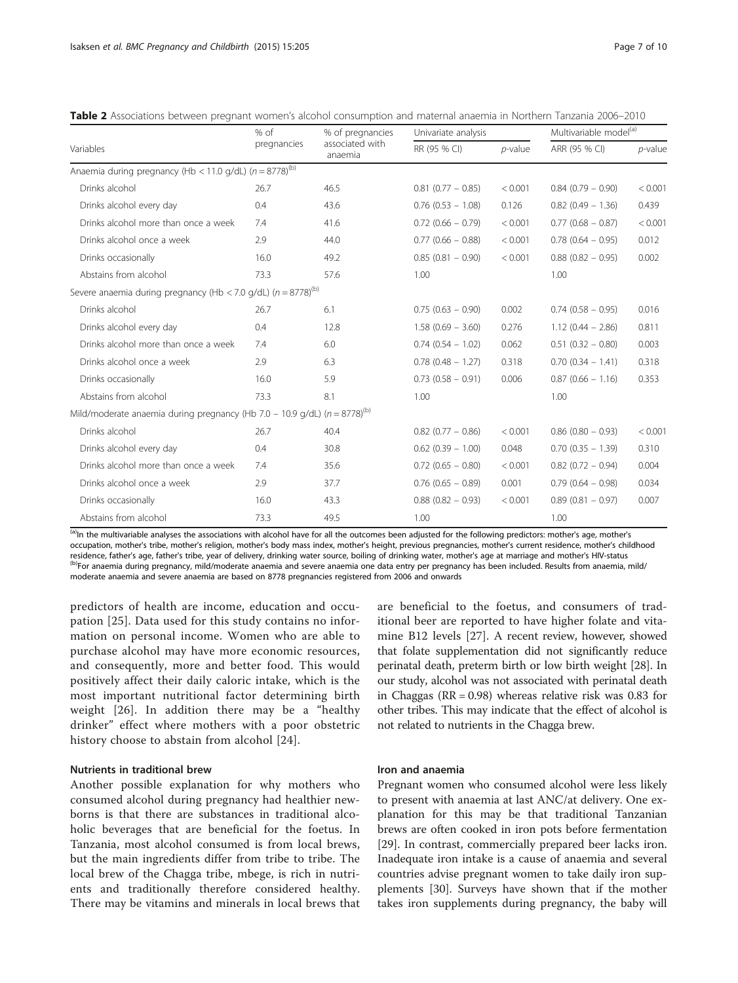|                                                                                           | $%$ of      | % of pregnancies           | Univariate analysis  |            | Multivariable model <sup>(a)</sup> |            |
|-------------------------------------------------------------------------------------------|-------------|----------------------------|----------------------|------------|------------------------------------|------------|
| Variables                                                                                 | pregnancies | associated with<br>anaemia | RR (95 % CI)         | $p$ -value | ARR (95 % CI)                      | $p$ -value |
| Anaemia during pregnancy (Hb < 11.0 g/dL) $(n = 8778)^{(\text{b})}$                       |             |                            |                      |            |                                    |            |
| Drinks alcohol                                                                            | 26.7        | 46.5                       | $0.81$ (0.77 - 0.85) | < 0.001    | $0.84(0.79 - 0.90)$                | < 0.001    |
| Drinks alcohol every day                                                                  | 0.4         | 43.6                       | $0.76$ (0.53 - 1.08) | 0.126      | $0.82$ (0.49 - 1.36)               | 0.439      |
| Drinks alcohol more than once a week                                                      | 7.4         | 41.6                       | $0.72$ (0.66 - 0.79) | < 0.001    | $0.77(0.68 - 0.87)$                | < 0.001    |
| Drinks alcohol once a week                                                                | 2.9         | 44.0                       | $0.77(0.66 - 0.88)$  | < 0.001    | $0.78$ (0.64 - 0.95)               | 0.012      |
| Drinks occasionally                                                                       | 16.0        | 49.2                       | $0.85(0.81 - 0.90)$  | < 0.001    | $0.88(0.82 - 0.95)$                | 0.002      |
| Abstains from alcohol                                                                     | 73.3        | 57.6                       | 1.00                 |            | 1.00                               |            |
| Severe anaemia during pregnancy (Hb < 7.0 g/dL) ( $n = 8778$ ) <sup>(b)</sup>             |             |                            |                      |            |                                    |            |
| Drinks alcohol                                                                            | 26.7        | 6.1                        | $0.75(0.63 - 0.90)$  | 0.002      | $0.74$ (0.58 - 0.95)               | 0.016      |
| Drinks alcohol every day                                                                  | 0.4         | 12.8                       | $1.58(0.69 - 3.60)$  | 0.276      | $1.12(0.44 - 2.86)$                | 0.811      |
| Drinks alcohol more than once a week                                                      | 7.4         | 6.0                        | $0.74(0.54 - 1.02)$  | 0.062      | $0.51(0.32 - 0.80)$                | 0.003      |
| Drinks alcohol once a week                                                                | 2.9         | 6.3                        | $0.78$ (0.48 - 1.27) | 0.318      | $0.70(0.34 - 1.41)$                | 0.318      |
| Drinks occasionally                                                                       | 16.0        | 5.9                        | $0.73$ (0.58 - 0.91) | 0.006      | $0.87(0.66 - 1.16)$                | 0.353      |
| Abstains from alcohol                                                                     | 73.3        | 8.1                        | 1.00                 |            | 1.00                               |            |
| Mild/moderate anaemia during pregnancy (Hb 7.0 - 10.9 g/dL) ( $n = 8778$ ) <sup>(b)</sup> |             |                            |                      |            |                                    |            |
| Drinks alcohol                                                                            | 26.7        | 40.4                       | $0.82$ (0.77 - 0.86) | < 0.001    | $0.86$ (0.80 - 0.93)               | < 0.001    |
| Drinks alcohol every day                                                                  | 0.4         | 30.8                       | $0.62$ (0.39 - 1.00) | 0.048      | $0.70$ (0.35 - 1.39)               | 0.310      |
| Drinks alcohol more than once a week                                                      | 7.4         | 35.6                       | $0.72$ (0.65 - 0.80) | < 0.001    | $0.82$ (0.72 - 0.94)               | 0.004      |
| Drinks alcohol once a week                                                                | 2.9         | 37.7                       | $0.76$ (0.65 - 0.89) | 0.001      | $0.79(0.64 - 0.98)$                | 0.034      |
| Drinks occasionally                                                                       | 16.0        | 43.3                       | $0.88$ (0.82 - 0.93) | < 0.001    | $0.89$ (0.81 - 0.97)               | 0.007      |
| Abstains from alcohol                                                                     | 73.3        | 49.5                       | 1.00                 |            | 1.00                               |            |

<span id="page-6-0"></span>

| <b>Table 2</b> Associations between pregnant women's alcohol consumption and maternal anaemia in Northern Tanzania 2006–2010 |  |  |  |
|------------------------------------------------------------------------------------------------------------------------------|--|--|--|
|------------------------------------------------------------------------------------------------------------------------------|--|--|--|

(a)In the multivariable analyses the associations with alcohol have for all the outcomes been adjusted for the following predictors: mother's age, mother's occupation, mother's tribe, mother's religion, mother's body mass index, mother's height, previous pregnancies, mother's current residence, mother's childhood residence, father's age, father's tribe, year of delivery, drinking water source, boiling of drinking water, mother's age at marriage and mother's HIV-status<br><sup>(b)</sup>For anaemia during pregnancy, mild/moderate anaemia and sev moderate anaemia and severe anaemia are based on 8778 pregnancies registered from 2006 and onwards

predictors of health are income, education and occupation [[25](#page-9-0)]. Data used for this study contains no information on personal income. Women who are able to purchase alcohol may have more economic resources, and consequently, more and better food. This would positively affect their daily caloric intake, which is the most important nutritional factor determining birth weight [[26](#page-9-0)]. In addition there may be a "healthy drinker" effect where mothers with a poor obstetric history choose to abstain from alcohol [\[24\]](#page-9-0).

# Nutrients in traditional brew

Another possible explanation for why mothers who consumed alcohol during pregnancy had healthier newborns is that there are substances in traditional alcoholic beverages that are beneficial for the foetus. In Tanzania, most alcohol consumed is from local brews, but the main ingredients differ from tribe to tribe. The local brew of the Chagga tribe, mbege, is rich in nutrients and traditionally therefore considered healthy. There may be vitamins and minerals in local brews that are beneficial to the foetus, and consumers of traditional beer are reported to have higher folate and vitamine B12 levels [\[27](#page-9-0)]. A recent review, however, showed that folate supplementation did not significantly reduce perinatal death, preterm birth or low birth weight [\[28\]](#page-9-0). In our study, alcohol was not associated with perinatal death in Chaggas (RR = 0.98) whereas relative risk was 0.83 for other tribes. This may indicate that the effect of alcohol is not related to nutrients in the Chagga brew.

#### Iron and anaemia

Pregnant women who consumed alcohol were less likely to present with anaemia at last ANC/at delivery. One explanation for this may be that traditional Tanzanian brews are often cooked in iron pots before fermentation [[29\]](#page-9-0). In contrast, commercially prepared beer lacks iron. Inadequate iron intake is a cause of anaemia and several countries advise pregnant women to take daily iron supplements [[30\]](#page-9-0). Surveys have shown that if the mother takes iron supplements during pregnancy, the baby will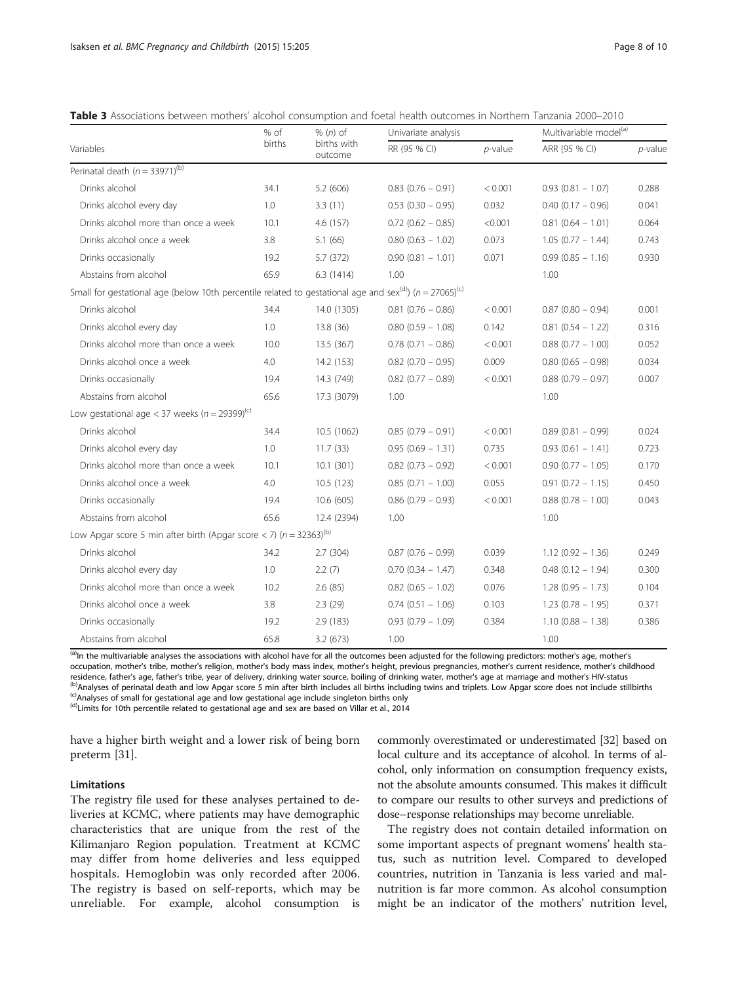|                                                                                                                                     | % of   | % $(n)$ of<br>births with<br>outcome | Univariate analysis    |            | Multivariable model <sup>(a)</sup> |            |
|-------------------------------------------------------------------------------------------------------------------------------------|--------|--------------------------------------|------------------------|------------|------------------------------------|------------|
| Variables                                                                                                                           | births |                                      | RR (95 % CI)           | $p$ -value | ARR (95 % CI)                      | $p$ -value |
| Perinatal death $(n = 33971)^{(b)}$                                                                                                 |        |                                      |                        |            |                                    |            |
| Drinks alcohol                                                                                                                      | 34.1   | 5.2(606)                             | $0.83(0.76 - 0.91)$    | < 0.001    | $0.93(0.81 - 1.07)$                | 0.288      |
| Drinks alcohol every day                                                                                                            | 1.0    | 3.3(11)                              | $0.53$ (0.30 - 0.95)   | 0.032      | $0.40$ (0.17 - 0.96)               | 0.041      |
| Drinks alcohol more than once a week                                                                                                | 10.1   | 4.6(157)                             | $0.72$ (0.62 - 0.85)   | < 0.001    | $0.81$ $(0.64 - 1.01)$             | 0.064      |
| Drinks alcohol once a week                                                                                                          | 3.8    | 5.1(66)                              | $0.80$ (0.63 - 1.02)   | 0.073      | $1.05(0.77 - 1.44)$                | 0.743      |
| Drinks occasionally                                                                                                                 | 19.2   | 5.7 (372)                            | $0.90(0.81 - 1.01)$    | 0.071      | $0.99(0.85 - 1.16)$                | 0.930      |
| Abstains from alcohol                                                                                                               | 65.9   | 6.3(1414)                            | 1.00                   |            | 1.00                               |            |
| Small for gestational age (below 10th percentile related to gestational age and sex <sup>(d)</sup> ) ( $n = 27065$ ) <sup>(c)</sup> |        |                                      |                        |            |                                    |            |
| Drinks alcohol                                                                                                                      | 34.4   | 14.0 (1305)                          | $0.81$ (0.76 - 0.86)   | < 0.001    | $0.87$ (0.80 - 0.94)               | 0.001      |
| Drinks alcohol every day                                                                                                            | 1.0    | 13.8 (36)                            | $0.80$ (0.59 - 1.08)   | 0.142      | $0.81(0.54 - 1.22)$                | 0.316      |
| Drinks alcohol more than once a week                                                                                                | 10.0   | 13.5 (367)                           | $0.78$ (0.71 - 0.86)   | < 0.001    | $0.88$ (0.77 - 1.00)               | 0.052      |
| Drinks alcohol once a week                                                                                                          | 4.0    | 14.2 (153)                           | $0.82$ (0.70 - 0.95)   | 0.009      | $0.80$ (0.65 - 0.98)               | 0.034      |
| Drinks occasionally                                                                                                                 | 19.4   | 14.3 (749)                           | $0.82$ (0.77 - 0.89)   | < 0.001    | $0.88$ (0.79 - 0.97)               | 0.007      |
| Abstains from alcohol                                                                                                               | 65.6   | 17.3 (3079)                          | 1.00                   |            | 1.00                               |            |
| Low gestational age < 37 weeks ( $n = 29399$ <sup>(c)</sup>                                                                         |        |                                      |                        |            |                                    |            |
| Drinks alcohol                                                                                                                      | 34.4   | 10.5 (1062)                          | $0.85(0.79 - 0.91)$    | < 0.001    | $0.89$ (0.81 - 0.99)               | 0.024      |
| Drinks alcohol every day                                                                                                            | 1.0    | 11.7(33)                             | $0.95(0.69 - 1.31)$    | 0.735      | $0.93(0.61 - 1.41)$                | 0.723      |
| Drinks alcohol more than once a week                                                                                                | 10.1   | 10.1(301)                            | $0.82$ (0.73 - 0.92)   | < 0.001    | $0.90$ (0.77 - 1.05)               | 0.170      |
| Drinks alcohol once a week                                                                                                          | 4.0    | 10.5(123)                            | $0.85(0.71 - 1.00)$    | 0.055      | $0.91(0.72 - 1.15)$                | 0.450      |
| Drinks occasionally                                                                                                                 | 19.4   | 10.6(605)                            | $0.86$ (0.79 - 0.93)   | < 0.001    | $0.88$ (0.78 - 1.00)               | 0.043      |
| Abstains from alcohol                                                                                                               | 65.6   | 12.4 (2394)                          | 1.00                   |            | 1.00                               |            |
| Low Apgar score 5 min after birth (Apgar score < 7) $(n = 32363)^{(b)}$                                                             |        |                                      |                        |            |                                    |            |
| Drinks alcohol                                                                                                                      | 34.2   | 2.7(304)                             | $0.87(0.76 - 0.99)$    | 0.039      | $1.12(0.92 - 1.36)$                | 0.249      |
| Drinks alcohol every day                                                                                                            | 1.0    | 2.2(7)                               | $0.70$ $(0.34 - 1.47)$ | 0.348      | $0.48$ (0.12 - 1.94)               | 0.300      |
| Drinks alcohol more than once a week                                                                                                | 10.2   | 2.6(85)                              | $0.82(0.65 - 1.02)$    | 0.076      | $1.28(0.95 - 1.73)$                | 0.104      |
| Drinks alcohol once a week                                                                                                          | 3.8    | 2.3(29)                              | $0.74(0.51 - 1.06)$    | 0.103      | $1.23$ (0.78 - 1.95)               | 0.371      |
| Drinks occasionally                                                                                                                 | 19.2   | 2.9(183)                             | $0.93(0.79 - 1.09)$    | 0.384      | $1.10$ (0.88 - 1.38)               | 0.386      |
| Abstains from alcohol                                                                                                               | 65.8   | 3.2(673)                             | 1.00                   |            | 1.00                               |            |

<span id="page-7-0"></span>

|  |  |  |  |  | <b>Table 3</b> Associations between mothers' alcohol consumption and foetal health outcomes in Northern Tanzania 2000–2010 |  |
|--|--|--|--|--|----------------------------------------------------------------------------------------------------------------------------|--|
|--|--|--|--|--|----------------------------------------------------------------------------------------------------------------------------|--|

(a)In the multivariable analyses the associations with alcohol have for all the outcomes been adjusted for the following predictors: mother's age, mother's occupation, mother's tribe, mother's religion, mother's body mass index, mother's height, previous pregnancies, mother's current residence, mother's childhood residence, father's age, father's tribe, year of delivery, drinking water source, boiling of drinking water, mother's age at marriage and mother's HIV-status<br><sup>(b)</sup>Analyses of perinatal death and low Apgar score 5 min after

(d)Limits for 10th percentile related to gestational age and sex are based on Villar et al., 2014

have a higher birth weight and a lower risk of being born preterm [[31](#page-9-0)].

#### Limitations

The registry file used for these analyses pertained to deliveries at KCMC, where patients may have demographic characteristics that are unique from the rest of the Kilimanjaro Region population. Treatment at KCMC may differ from home deliveries and less equipped hospitals. Hemoglobin was only recorded after 2006. The registry is based on self-reports, which may be unreliable. For example, alcohol consumption is

commonly overestimated or underestimated [\[32\]](#page-9-0) based on local culture and its acceptance of alcohol. In terms of alcohol, only information on consumption frequency exists, not the absolute amounts consumed. This makes it difficult to compare our results to other surveys and predictions of dose–response relationships may become unreliable.

The registry does not contain detailed information on some important aspects of pregnant womens' health status, such as nutrition level. Compared to developed countries, nutrition in Tanzania is less varied and malnutrition is far more common. As alcohol consumption might be an indicator of the mothers' nutrition level,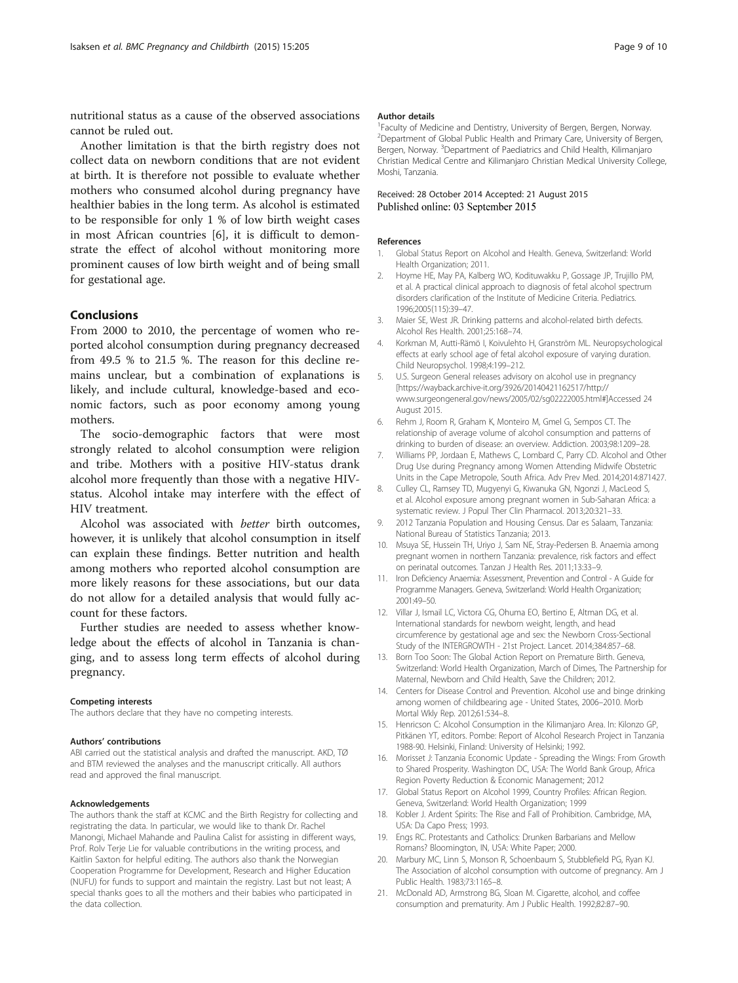<span id="page-8-0"></span>nutritional status as a cause of the observed associations cannot be ruled out.

Another limitation is that the birth registry does not collect data on newborn conditions that are not evident at birth. It is therefore not possible to evaluate whether mothers who consumed alcohol during pregnancy have healthier babies in the long term. As alcohol is estimated to be responsible for only 1 % of low birth weight cases in most African countries [6], it is difficult to demonstrate the effect of alcohol without monitoring more prominent causes of low birth weight and of being small for gestational age.

# Conclusions

From 2000 to 2010, the percentage of women who reported alcohol consumption during pregnancy decreased from 49.5 % to 21.5 %. The reason for this decline remains unclear, but a combination of explanations is likely, and include cultural, knowledge-based and economic factors, such as poor economy among young mothers.

The socio-demographic factors that were most strongly related to alcohol consumption were religion and tribe. Mothers with a positive HIV-status drank alcohol more frequently than those with a negative HIVstatus. Alcohol intake may interfere with the effect of HIV treatment.

Alcohol was associated with *better* birth outcomes, however, it is unlikely that alcohol consumption in itself can explain these findings. Better nutrition and health among mothers who reported alcohol consumption are more likely reasons for these associations, but our data do not allow for a detailed analysis that would fully account for these factors.

Further studies are needed to assess whether knowledge about the effects of alcohol in Tanzania is changing, and to assess long term effects of alcohol during pregnancy.

#### Competing interests

The authors declare that they have no competing interests.

#### Authors' contributions

ABI carried out the statistical analysis and drafted the manuscript. AKD, TØ and BTM reviewed the analyses and the manuscript critically. All authors read and approved the final manuscript.

#### Acknowledgements

The authors thank the staff at KCMC and the Birth Registry for collecting and registrating the data. In particular, we would like to thank Dr. Rachel Manongi, Michael Mahande and Paulina Calist for assisting in different ways, Prof. Rolv Terje Lie for valuable contributions in the writing process, and Kaitlin Saxton for helpful editing. The authors also thank the Norwegian Cooperation Programme for Development, Research and Higher Education (NUFU) for funds to support and maintain the registry. Last but not least; A special thanks goes to all the mothers and their babies who participated in the data collection.

#### Author details

<sup>1</sup> Faculty of Medicine and Dentistry, University of Bergen, Bergen, Norway. <sup>2</sup> Department of Global Public Health and Primary Care, University of Bergen Bergen, Norway. <sup>3</sup>Department of Paediatrics and Child Health, Kilimanjard Christian Medical Centre and Kilimanjaro Christian Medical University College, Moshi, Tanzania.

#### Received: 28 October 2014 Accepted: 21 August 2015 Published online: 03 September 2015

#### References

- 1. Global Status Report on Alcohol and Health. Geneva, Switzerland: World Health Organization; 2011.
- 2. Hoyme HE, May PA, Kalberg WO, Kodituwakku P, Gossage JP, Trujillo PM, et al. A practical clinical approach to diagnosis of fetal alcohol spectrum disorders clarification of the Institute of Medicine Criteria. Pediatrics. 1996;2005(115):39–47.
- Maier SE, West JR. Drinking patterns and alcohol-related birth defects. Alcohol Res Health. 2001;25:168–74.
- 4. Korkman M, Autti-Rämö I, Koivulehto H, Granström ML. Neuropsychological effects at early school age of fetal alcohol exposure of varying duration. Child Neuropsychol. 1998;4:199–212.
- 5. U.S. Surgeon General releases advisory on alcohol use in pregnancy [[https://wayback.archive-it.org/3926/20140421162517/http://](http://www.surgeongeneral.gov/news/2005/02/sg02222005.html) [www.surgeongeneral.gov/news/2005/02/sg02222005.html#](http://www.surgeongeneral.gov/news/2005/02/sg02222005.html)]Accessed 24 August 2015.
- 6. Rehm J, Room R, Graham K, Monteiro M, Gmel G, Sempos CT. The relationship of average volume of alcohol consumption and patterns of drinking to burden of disease: an overview. Addiction. 2003;98:1209–28.
- 7. Williams PP, Jordaan E, Mathews C, Lombard C, Parry CD. Alcohol and Other Drug Use during Pregnancy among Women Attending Midwife Obstetric Units in the Cape Metropole, South Africa. Adv Prev Med. 2014;2014:871427.
- 8. Culley CL, Ramsey TD, Mugyenyi G, Kiwanuka GN, Ngonzi J, MacLeod S, et al. Alcohol exposure among pregnant women in Sub-Saharan Africa: a systematic review. J Popul Ther Clin Pharmacol. 2013;20:321–33.
- 9. 2012 Tanzania Population and Housing Census. Dar es Salaam, Tanzania: National Bureau of Statistics Tanzania; 2013.
- 10. Msuya SE, Hussein TH, Uriyo J, Sam NE, Stray-Pedersen B. Anaemia among pregnant women in northern Tanzania: prevalence, risk factors and effect on perinatal outcomes. Tanzan J Health Res. 2011;13:33–9.
- 11. Iron Deficiency Anaemia: Assessment, Prevention and Control A Guide for Programme Managers. Geneva, Switzerland: World Health Organization; 2001:49–50.
- 12. Villar J, Ismail LC, Victora CG, Ohuma EO, Bertino E, Altman DG, et al. International standards for newborn weight, length, and head circumference by gestational age and sex: the Newborn Cross-Sectional Study of the INTERGROWTH - 21st Project. Lancet. 2014;384:857–68.
- 13. Born Too Soon: The Global Action Report on Premature Birth. Geneva, Switzerland: World Health Organization, March of Dimes, The Partnership for Maternal, Newborn and Child Health, Save the Children; 2012.
- 14. Centers for Disease Control and Prevention. Alcohol use and binge drinking among women of childbearing age - United States, 2006–2010. Morb Mortal Wkly Rep. 2012;61:534–8.
- 15. Henricson C: Alcohol Consumption in the Kilimanjaro Area. In: Kilonzo GP, Pitkänen YT, editors. Pombe: Report of Alcohol Research Project in Tanzania 1988-90. Helsinki, Finland: University of Helsinki; 1992.
- 16. Morisset J: Tanzania Economic Update Spreading the Wings: From Growth to Shared Prosperity. Washington DC, USA: The World Bank Group, Africa Region Poverty Reduction & Economic Management; 2012
- 17. Global Status Report on Alcohol 1999, Country Profiles: African Region. Geneva, Switzerland: World Health Organization; 1999
- 18. Kobler J. Ardent Spirits: The Rise and Fall of Prohibition. Cambridge, MA, USA: Da Capo Press; 1993.
- 19. Engs RC. Protestants and Catholics: Drunken Barbarians and Mellow Romans? Bloomington, IN, USA: White Paper; 2000.
- 20. Marbury MC, Linn S, Monson R, Schoenbaum S, Stubblefield PG, Ryan KJ. The Association of alcohol consumption with outcome of pregnancy. Am J Public Health. 1983;73:1165–8.
- 21. McDonald AD, Armstrong BG, Sloan M. Cigarette, alcohol, and coffee consumption and prematurity. Am J Public Health. 1992;82:87–90.